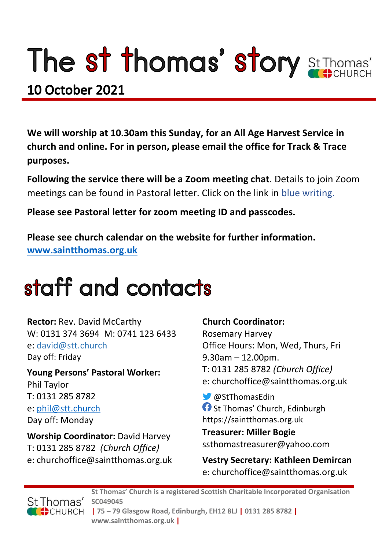# The st thomas' story St Thomas'

### **10 October 2021**

**We will worship at 10.30am this Sunday, for an All Age Harvest Service in church and online. For in person, please email the office for Track & Trace purposes.**

**Following the service there will be a Zoom meeting chat**. Details to join Zoom meetings can be found in Pastoral letter. Click on the link in blue writing.

**Please see Pastoral letter for zoom meeting ID and passcodes.**

**Please see church calendar on the website for further information. [www.saintthomas.org.uk](http://www.saintthomas.org.uk/)**

### staff and contacts

**Rector:** Rev. David McCarthy W: 0131 374 3694 M: 0741 123 6433 e: david@stt.church Day off: Friday

**Young Persons' Pastoral Worker:** Phil Taylor T: 0131 285 8782 e: [phil@stt.church](mailto:phil@stt.church) Day off: Monday

**Worship Coordinator:** David Harvey T: 0131 285 8782 *(Church Office)* e: churchoffice@saintthomas.org.uk

#### **Church Coordinator:**

Rosemary Harvey Office Hours: Mon, Wed, Thurs, Fri 9.30am – 12.00pm. T: 0131 285 8782 *(Church Office)* e: churchoffice@saintthomas.org.uk

@StThomasEdin **St Thomas' Church, Edinburgh** https://saintthomas.org.uk

**Treasurer: Miller Bogie** ssthomastreasurer@yahoo.com

**Vestry Secretary: Kathleen Demircan**  e: churchoffice@saintthomas.org.uk



**St Thomas' Church is a registered Scottish Charitable Incorporated Organisation SC049045 | 75 – 79 Glasgow Road, Edinburgh, EH12 8LJ | 0131 285 8782 | www.saintthomas.org.uk |**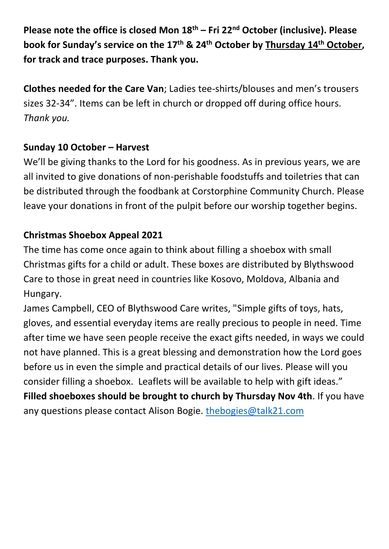**Please note the office is closed Mon 18th – Fri 22nd October (inclusive). Please book for Sunday's service on the 17th & 24th October by Thursday 14th October, for track and trace purposes. Thank you.**

**Clothes needed for the Care Van**; Ladies tee-shirts/blouses and men's trousers sizes 32-34". Items can be left in church or dropped off during office hours. *Thank you.*

#### **Sunday 10 October – Harvest**

We'll be giving thanks to the Lord for his goodness. As in previous years, we are all invited to give donations of non-perishable foodstuffs and toiletries that can be distributed through the foodbank at Corstorphine Community Church. Please leave your donations in front of the pulpit before our worship together begins.

#### **Christmas Shoebox Appeal 2021**

The time has come once again to think about filling a shoebox with small Christmas gifts for a child or adult. These boxes are distributed by Blythswood Care to those in great need in countries like Kosovo, Moldova, Albania and Hungary.

James Campbell, CEO of Blythswood Care writes, "Simple gifts of toys, hats, gloves, and essential everyday items are really precious to people in need. Time after time we have seen people receive the exact gifts needed, in ways we could not have planned. This is a great blessing and demonstration how the Lord goes before us in even the simple and practical details of our lives. Please will you consider filling a shoebox. Leaflets will be available to help with gift ideas." **Filled shoeboxes should be brought to church by Thursday Nov 4th**. If you have any questions please contact Alison Bogie. [thebogies@talk21.com](mailto:thebogies@talk21.com)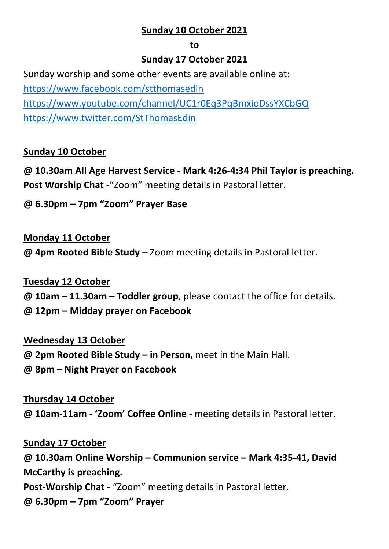#### **Sunday 10 October 2021**

#### **to**

#### **Sunday 17 October 2021**

Sunday worship and some other events are available online at: <https://www.facebook.com/stthomasedin> <https://www.youtube.com/channel/UC1r0Eq3PqBmxioDssYXCbGQ> <https://www.twitter.com/StThomasEdin>

#### **Sunday 10 October**

**@ 10.30am All Age Harvest Service - Mark 4:26-4:34 Phil Taylor is preaching. Post Worship Chat -**"Zoom" meeting details in Pastoral letter.

#### **@ 6.30pm – 7pm "Zoom" Prayer Base**

#### **Monday 11 October**

**@ 4pm Rooted Bible Study** – Zoom meeting details in Pastoral letter.

#### **Tuesday 12 October**

**@ 10am – 11.30am – Toddler group**, please contact the office for details.

**@ 12pm – Midday prayer on Facebook**

#### **Wednesday 13 October**

**@ 2pm Rooted Bible Study – in Person,** meet in the Main Hall.

**@ 8pm – Night Prayer on Facebook** 

#### **Thursday 14 October @ 10am-11am - 'Zoom' Coffee Online -** meeting details in Pastoral letter.

**Sunday 17 October @ 10.30am Online Worship – Communion service – Mark 4:35-41, David McCarthy is preaching. Post-Worship Chat -** "Zoom" meeting details in Pastoral letter. **@ 6.30pm – 7pm "Zoom" Prayer**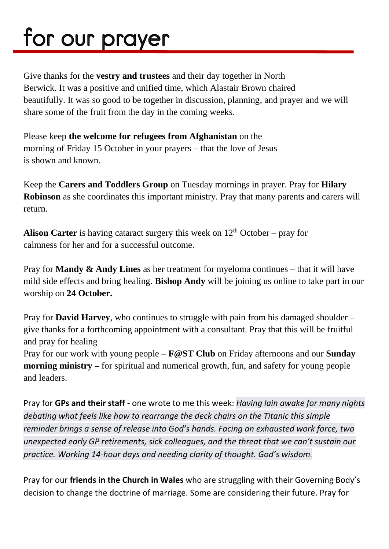## for our prayer

Give thanks for the **vestry and trustees** and their day together in North Berwick. It was a positive and unified time, which Alastair Brown chaired beautifully. It was so good to be together in discussion, planning, and prayer and we will share some of the fruit from the day in the coming weeks.

Please keep **the welcome for refugees from Afghanistan** on the morning of Friday 15 October in your prayers – that the love of Jesus is shown and known.

Keep the **Carers and Toddlers Group** on Tuesday mornings in prayer. Pray for **Hilary Robinson** as she coordinates this important ministry. Pray that many parents and carers will return.

**Alison Carter** is having cataract surgery this week on  $12<sup>th</sup>$  October – pray for calmness for her and for a successful outcome.

Pray for **Mandy & Andy Lines** as her treatment for myeloma continues – that it will have mild side effects and bring healing. **Bishop Andy** will be joining us online to take part in our worship on **24 October.**

Pray for **David Harvey**, who continues to struggle with pain from his damaged shoulder – give thanks for a forthcoming appointment with a consultant. Pray that this will be fruitful and pray for healing

Pray for our work with young people – **F@ST Club** on Friday afternoons and our **Sunday morning ministry** – for spiritual and numerical growth, fun, and safety for young people and leaders.

Pray for **GPs and their staff** - one wrote to me this week: *Having lain awake for many nights debating what feels like how to rearrange the deck chairs on the Titanic this simple reminder brings a sense of release into God's hands. Facing an exhausted work force, two unexpected early GP retirements, sick colleagues, and the threat that we can't sustain our practice. Working 14-hour days and needing clarity of thought. God's wisdom*.

Pray for our **friends in the Church in Wales** who are struggling with their Governing Body's decision to change the doctrine of marriage. Some are considering their future. Pray for